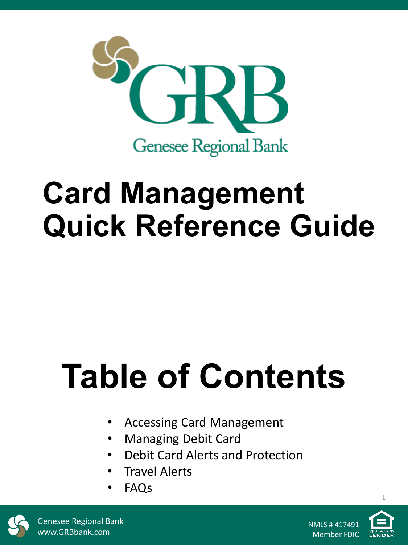

# **Card Management Quick Reference Guide**

# **Table of Contents**

- Accessing Card Management
- Managing Debit Card
- Debit Card Alerts and Protection
- Travel Alerts
- FAQs



Genesee Regional Bank www.GRBbank.com

NMLS # 417491 Member FDIC

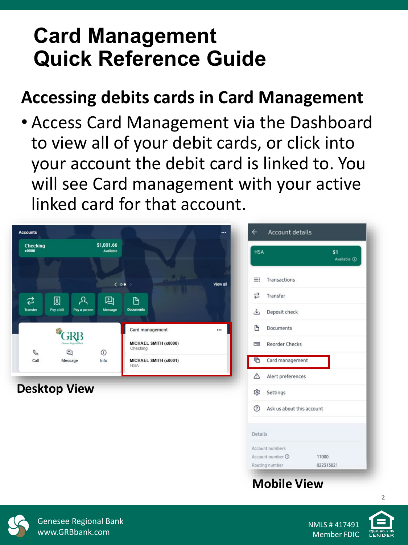# **Card Management Quick Reference Guide**

# **Accessing debits cards in Card Management**

• Access Card Management via the Dashboard to view all of your debit cards, or click into your account the debit card is linked to. You will see Card management with your active linked card for that account.

| <b>Accounts</b>                                              |                                                                               | $\leftarrow$<br>     | <b>Account details</b>                                          |                           |
|--------------------------------------------------------------|-------------------------------------------------------------------------------|----------------------|-----------------------------------------------------------------|---------------------------|
| Checking<br>x0000                                            | \$1,001.66<br>Available                                                       | <b>HSA</b>           |                                                                 | \$1<br>Available <b>O</b> |
|                                                              | $\langle$ 00 >                                                                | $\equiv$<br>View all | Transactions                                                    |                           |
| ₹<br>圆<br>ዲ<br><b>Transfer</b><br>Pay a bill<br>Pay a person | 囘<br>D<br>Message<br><b>Documents</b>                                         | ₹<br>子               | Transfer<br>Deposit check                                       |                           |
|                                                              | Card management                                                               | D<br>                | Documents                                                       |                           |
| C<br>囘<br>Call<br>Message                                    | MICHAEL SMITH (x0000)<br>Checking<br>$\odot$<br>MICHAEL SMITH (x0001)<br>Info | $\equiv$<br>G        | <b>Reorder Checks</b><br>Card management                        |                           |
|                                                              | <b>HSA</b>                                                                    | ⚠                    | Alert preferences                                               |                           |
| <b>Desktop View</b>                                          |                                                                               | భ<br>$\circledR$     | Settings<br>Ask us about this account                           |                           |
|                                                              |                                                                               |                      |                                                                 |                           |
|                                                              |                                                                               | Details              | Account numbers                                                 |                           |
|                                                              |                                                                               |                      | Account number <b>O</b><br>11000<br>Routing number<br>022313021 |                           |

#### **Mobile View**



Genesee Regional Bank www.GRBbank.com

NMLS # 417491 Member FDIC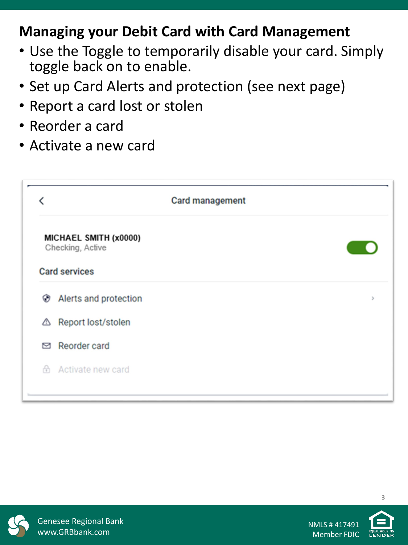### **Managing your Debit Card with Card Management**

- Use the Toggle to temporarily disable your card. Simply toggle back on to enable.
- Set up Card Alerts and protection (see next page)
- Report a card lost or stolen
- Reorder a card
- Activate a new card

|   | <b>Card management</b>                                            |  |
|---|-------------------------------------------------------------------|--|
|   | MICHAEL SMITH (x0000)<br>Checking, Active<br><b>Card services</b> |  |
| ⊛ | Alerts and protection                                             |  |
| ◬ | Report lost/stolen                                                |  |
| ⊠ | Reorder card                                                      |  |
|   | h Activate new card                                               |  |
|   |                                                                   |  |



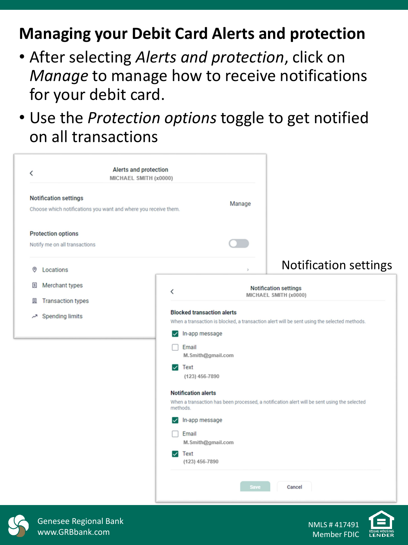## **Managing your Debit Card Alerts and protection**

- After selecting *Alerts and protection*, click on *Manage* to manage how to receive notifications for your debit card.
- Use the *Protection options* toggle to get notified on all transactions

| ≺                                                            | Alerts and protection<br>MICHAEL SMITH (x0000)                  |                                                                                               |                |                                                                                             |
|--------------------------------------------------------------|-----------------------------------------------------------------|-----------------------------------------------------------------------------------------------|----------------|---------------------------------------------------------------------------------------------|
| <b>Notification settings</b>                                 | Choose which notifications you want and where you receive them. |                                                                                               | Manage         |                                                                                             |
| <b>Protection options</b><br>Notify me on all transactions   |                                                                 |                                                                                               |                |                                                                                             |
| Locations<br>$^{\circ}$                                      |                                                                 |                                                                                               | $\overline{ }$ | <b>Notification settings</b>                                                                |
| Merchant types<br>$\boxed{S}$                                |                                                                 | $\acute{}$                                                                                    |                | <b>Notification settings</b><br>MICHAEL SMITH (x0000)                                       |
| <b>Transaction types</b><br>贝<br><b>Spending limits</b><br>ᅎ |                                                                 | <b>Blocked transaction alerts</b>                                                             |                | When a transaction is blocked, a transaction alert will be sent using the selected methods. |
|                                                              |                                                                 | $\triangledown$ In-app message<br>Email<br>M.Smith@gmail.com<br>$\vee$ Text<br>(123) 456-7890 |                |                                                                                             |
|                                                              |                                                                 | <b>Notification alerts</b><br>methods.                                                        |                | When a transaction has been processed, a notification alert will be sent using the selected |
|                                                              |                                                                 | In-app message<br>$\checkmark$<br>Email<br>M.Smith@gmail.com                                  |                |                                                                                             |
|                                                              |                                                                 | <b>Text</b><br>$\boldsymbol{\mathcal{L}}$<br>(123) 456-7890                                   |                |                                                                                             |
|                                                              |                                                                 |                                                                                               | Save           | Cancel                                                                                      |



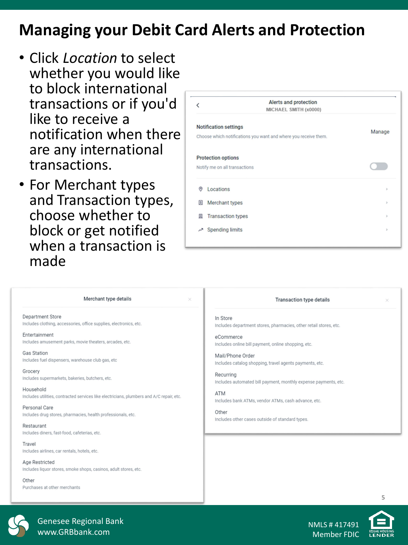### **Managing your Debit Card Alerts and Protection**

- Click *Location* to select whether you would like to block international transactions or if you'd like to receive a notification when there are any international transactions.
- For Merchant types and Transaction types, choose whether to block or get notified when a transaction is made

|                                | Alerts and protection<br>MICHAEL SMITH (x0000)                  |               |
|--------------------------------|-----------------------------------------------------------------|---------------|
| <b>Notification settings</b>   | Choose which notifications you want and where you receive them. | Manage        |
| <b>Protection options</b>      |                                                                 |               |
| Notify me on all transactions  |                                                                 |               |
| ◎<br>Locations                 |                                                                 | $\mathbf{y}$  |
| 圓<br>Merchant types            |                                                                 | $\rightarrow$ |
| <b>Transaction types</b><br>圆  |                                                                 | $\mathbf{y}$  |
| <b>Spending limits</b><br>احمر |                                                                 | $\rightarrow$ |

| Merchant type details                                                                    | <b>Transaction type details</b>                                   |
|------------------------------------------------------------------------------------------|-------------------------------------------------------------------|
| ×                                                                                        | ×                                                                 |
| <b>Department Store</b>                                                                  | In Store                                                          |
| Includes clothing, accessories, office supplies, electronics, etc.                       | Includes department stores, pharmacies, other retail stores, etc. |
| Entertainment                                                                            | eCommerce                                                         |
| Includes amusement parks, movie theaters, arcades, etc.                                  | Includes online bill payment, online shopping, etc.               |
| <b>Gas Station</b>                                                                       | Mail/Phone Order                                                  |
| Includes fuel dispensers, warehouse club gas, etc                                        | Includes catalog shopping, travel agents payments, etc.           |
| Grocery                                                                                  | Recurring                                                         |
| Includes supermarkets, bakeries, butchers, etc.                                          | Includes automated bill payment, monthly expense payments, etc.   |
| Household                                                                                | <b>ATM</b>                                                        |
| Includes utilities, contracted services like electricians, plumbers and A/C repair, etc. | Includes bank ATMs, vendor ATMs, cash advance, etc.               |
| Personal Care                                                                            | Other                                                             |
| Includes drug stores, pharmacies, health professionals, etc.                             | Includes other cases outside of standard types.                   |
| Restaurant<br>Includes diners, fast-food, cafeterias, etc.                               |                                                                   |
| Travel<br>Includes airlines, car rentals, hotels, etc.                                   |                                                                   |
| Age Restricted<br>Includes liquor stores, smoke shops, casinos, adult stores, etc.       |                                                                   |
| Other<br>Purchases at other merchants                                                    |                                                                   |



Genesee Regional Bank www.GRBbank.com

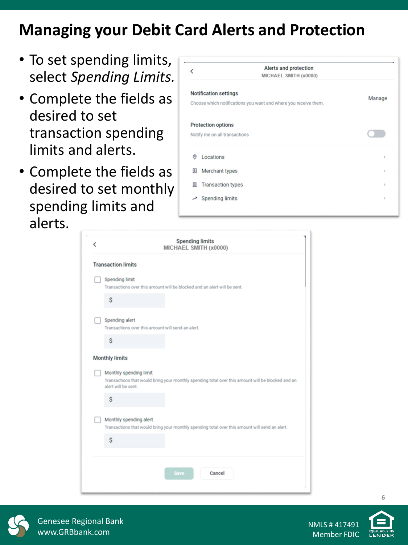# **Managing your Debit Card Alerts and Protection**

- To set spending limits, select *Spending Limits.*
- Complete the fields as desired to set transaction spending limits and alerts.
- Complete the fields as desired to set monthly spending limits and alerts.

| Alerts and protection<br>MICHAEL SMITH (x0000) |                                                                                                                                                                                                             |
|------------------------------------------------|-------------------------------------------------------------------------------------------------------------------------------------------------------------------------------------------------------------|
|                                                | Manage                                                                                                                                                                                                      |
|                                                |                                                                                                                                                                                                             |
|                                                |                                                                                                                                                                                                             |
|                                                | $\,$                                                                                                                                                                                                        |
|                                                | $\,$                                                                                                                                                                                                        |
|                                                | $\,$                                                                                                                                                                                                        |
| <b>Spending limits</b>                         | $\,$                                                                                                                                                                                                        |
|                                                | <b>Notification settings</b><br>Choose which notifications you want and where you receive them.<br><b>Protection options</b><br>Notify me on all transactions<br>Merchant types<br><b>Transaction types</b> |

| MICHAEL SMITH (x0000)                                                                                                                              |
|----------------------------------------------------------------------------------------------------------------------------------------------------|
| <b>Transaction limits</b>                                                                                                                          |
| Spending limit<br>Transactions over this amount will be blocked and an alert will be sent.                                                         |
| Ś                                                                                                                                                  |
| Spending alert<br>Transactions over this amount will send an alert.                                                                                |
| \$                                                                                                                                                 |
| <b>Monthly limits</b>                                                                                                                              |
| Monthly spending limit<br>Transactions that would bring your monthly spending total over this amount will be blocked and an<br>alert will be sent. |
| Ś                                                                                                                                                  |
| Monthly spending alert<br>Transactions that would bring your monthly spending total over this amount will send an alert.                           |
| \$                                                                                                                                                 |
|                                                                                                                                                    |



Genesee Regional Bank www.GRBbank.com

NMLS # 417491 Member FDIC

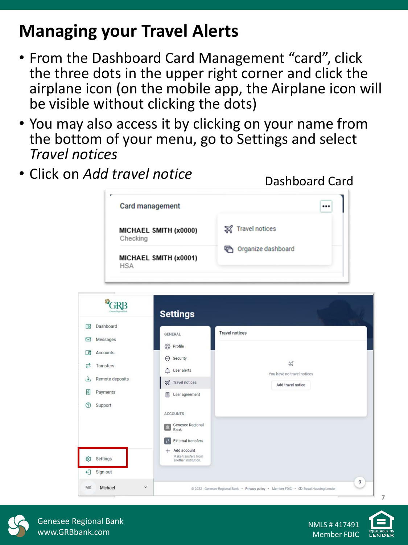# **Managing your Travel Alerts**

- From the Dashboard Card Management "card", click the three dots in the upper right corner and click the airplane icon (on the mobile app, the Airplane icon will be visible without clicking the dots)
- You may also access it by clicking on your name from the bottom of your menu, go to Settings and select *Travel notices*
- Click on *Add travel notice*

|                        | <b>Card management</b> |                                                                |                             |
|------------------------|------------------------|----------------------------------------------------------------|-----------------------------|
|                        | Checking               | MICHAEL SMITH (x0000)                                          | <b>S</b> Travel notices     |
|                        | <b>HSA</b>             | MICHAEL SMITH (x0001)                                          | <b>色</b> Organize dashboard |
|                        |                        | <b>Settings</b>                                                |                             |
| Œ                      | Dashboard              |                                                                |                             |
| ⊠                      | Messages               | <b>GENERAL</b>                                                 | <b>Travel notices</b>       |
| Accounts               |                        | <sup><sup>O</sup> Profile</sup>                                |                             |
| 直                      |                        | Security                                                       | ₩                           |
| ಬ<br><b>Transfers</b>  |                        | $\bigcap$ User alerts                                          | You have no travel notices  |
| بلق                    | Remote deposits        | <b>X</b> Travel notices                                        | Add travel notice           |
| $\sqrt{S}$<br>Payments |                        | User agreement                                                 |                             |
| $\circledR$<br>Support |                        |                                                                |                             |
|                        |                        | <b>ACCOUNTS</b>                                                |                             |
|                        |                        | Genesee Regional<br><b>Bank</b>                                |                             |
|                        |                        | <b>External transfers</b><br> 2                                |                             |
|                        |                        |                                                                |                             |
| హ్లికె<br>Settings     |                        | $+$ Add account<br>Make transfers from<br>another institution. |                             |
| €<br>Sign out          |                        |                                                                |                             |



Genesee Regional Bank www.GRBbank.com

Dashboard Card

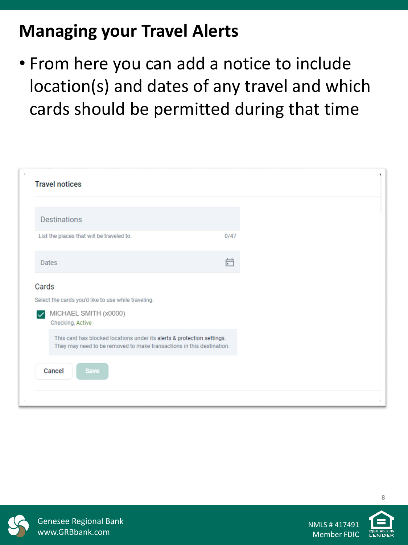# **Managing your Travel Alerts**

• From here you can add a notice to include location(s) and dates of any travel and which cards should be permitted during that time

| <b>Travel notices</b>                                                                                                                            |      |
|--------------------------------------------------------------------------------------------------------------------------------------------------|------|
| <b>Destinations</b>                                                                                                                              |      |
| List the places that will be traveled to.                                                                                                        | 0/47 |
| <b>Dates</b>                                                                                                                                     | 户    |
| Cards<br>Select the cards you'd like to use while traveling.<br>MICHAEL SMITH (x0000)<br>$\checkmark$<br>Checking, Active                        |      |
| This card has blocked locations under its alerts & protection settings.<br>They may need to be removed to make transactions in this destination. |      |
| Cancel<br>Save                                                                                                                                   |      |



Genesee Regional Bank www.GRBbank.com

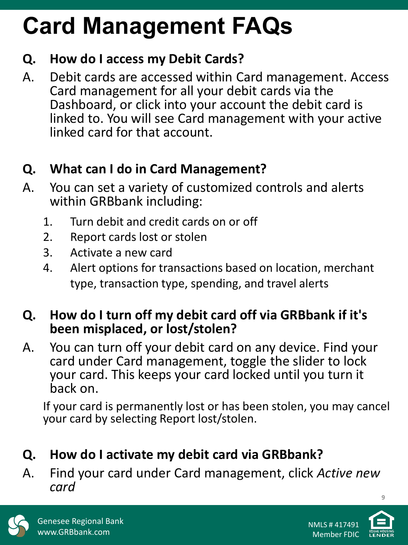# **Card Management FAQs**

#### **Q. How do I access my Debit Cards?**

A. Debit cards are accessed within Card management. Access Card management for all your debit cards via the Dashboard, or click into your account the debit card is linked to. You will see Card management with your active linked card for that account.

### **Q. What can I do in Card Management?**

- A. You can set a variety of customized controls and alerts within GRBbank including:
	- 1. Turn debit and credit cards on or off
	- 2. Report cards lost or stolen
	- 3. Activate a new card
	- 4. Alert options for transactions based on location, merchant type, transaction type, spending, and travel alerts

#### **Q. How do I turn off my debit card off via GRBbank if it's been misplaced, or lost/stolen?**

A. You can turn off your debit card on any device. Find your card under Card management, toggle the slider to lock your card. This keeps your card locked until you turn it back on.

If your card is permanently lost or has been stolen, you may cancel your card by selecting Report lost/stolen.

- **Q. How do I activate my debit card via GRBbank?**
- A. Find your card under Card management, click *Active new card*